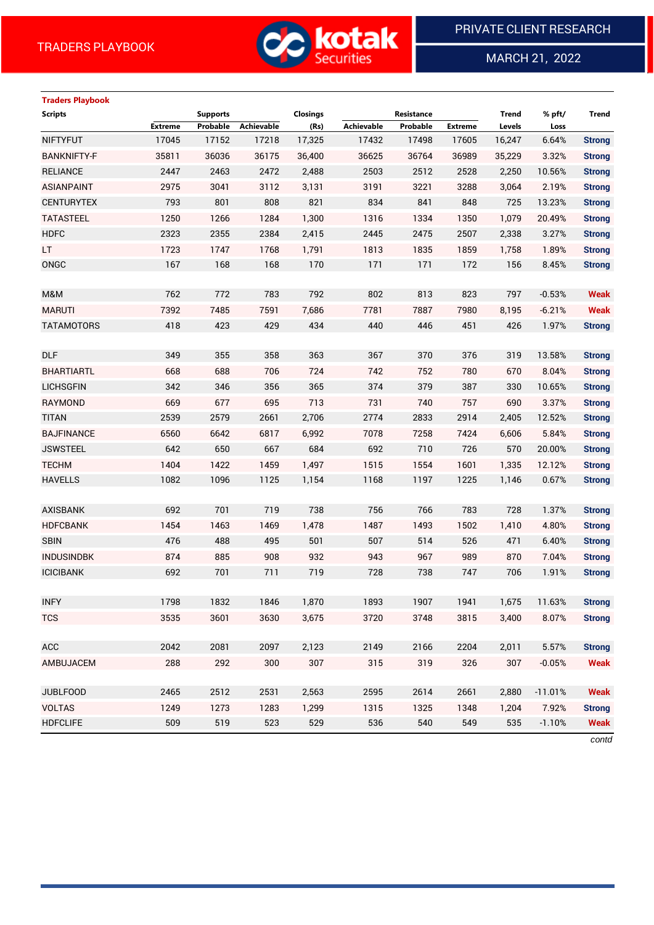

MARCH 21, 2022

 $\overline{a}$ 

# **Traders Playbook Scripts Supports Closings Resistance Trend % pft/ Trend Extreme Probable Achievable (Rs) Achievable Probable Extreme Levels Loss** NIFTYFUT 17045 17152 17218 17,325 17432 17498 17605 16,247 6.64% **Strong** BANKNIFTY-F 35811 36036 36175 36,400 36625 36764 36989 35,229 3.32% **Strong** RELIANCE 2447 2463 2472 2,488 2503 2512 2528 2,250 10.56% **Strong** ASIANPAINT 2975 3041 3112 3,131 3191 3221 3288 3,064 2.19% **Strong** CENTURYTEX 793 801 808 821 834 841 848 725 13.23% **Strong** TATASTEEL 1250 1266 1284 1,300 1316 1334 1350 1,079 20.49% **Strong** HDFC 2323 2355 2384 2,415 2445 2475 2507 2,338 3.27% **Strong** LT 1723 1747 1768 1,791 1813 1835 1859 1,758 1.89% **Strong** ONGC 167 168 168 170 171 171 172 156 8.45% **Strong** M&M 762 772 783 792 802 813 823 797 -0.53% **Weak** MARUTI 7392 7485 7591 7,686 7781 7887 7980 8,195 -6.21% **Weak** TATAMOTORS 418 423 429 434 440 446 451 426 1.97% **Strong** DLF 349 355 358 363 367 370 376 319 13.58% **Strong** BHARTIARTL 668 688 706 724 742 752 780 670 8.04% **Strong** LICHSGFIN 342 346 356 365 374 379 387 330 10.65% **Strong** RAYMOND 669 677 695 713 731 740 757 690 3.37% **Strong** TITAN 2539 2579 2661 2,706 2774 2833 2914 2,405 12.52% **Strong** BAJFINANCE 6560 6642 6817 6,992 7078 7258 7424 6,606 5.84% **Strong** JSWSTEEL 642 650 667 684 692 710 726 570 20.00% **Strong** TECHM 1404 1422 1459 1,497 1515 1554 1601 1,335 12.12% **Strong** HAVELLS 1082 1096 1125 1,154 1168 1197 1225 1,146 0.67% **Strong** AXISBANK 692 701 719 738 756 766 783 728 1.37% **Strong** HDFCBANK 1454 1463 1469 1,478 1487 1493 1502 1,410 4.80% **Strong** SBIN 476 488 495 501 507 514 526 471 6.40% **Strong** INDUSINDBK 874 885 908 932 943 967 989 870 7.04% **Strong** ICICIBANK 692 701 711 719 728 738 747 706 1.91% **Strong** INFY 1798 1832 1846 1,870 1893 1907 1941 1,675 11.63% **Strong** TCS 3535 3601 3630 3,675 3720 3748 3815 3,400 8.07% **Strong** ACC 2042 2081 2097 2,123 2149 2166 2204 2,011 5.57% **Strong** AMBUJACEM 288 292 300 307 315 319 326 307 -0.05% **Weak** JUBLFOOD 2465 2512 2531 2,563 2595 2614 2661 2,880 -11.01% **Weak** VOLTAS 1249 1273 1283 1,299 1315 1325 1348 1,204 7.92% **Strong** HDFCLIFE 509 519 523 529 536 540 549 535 -1.10% **Weak**

*contd*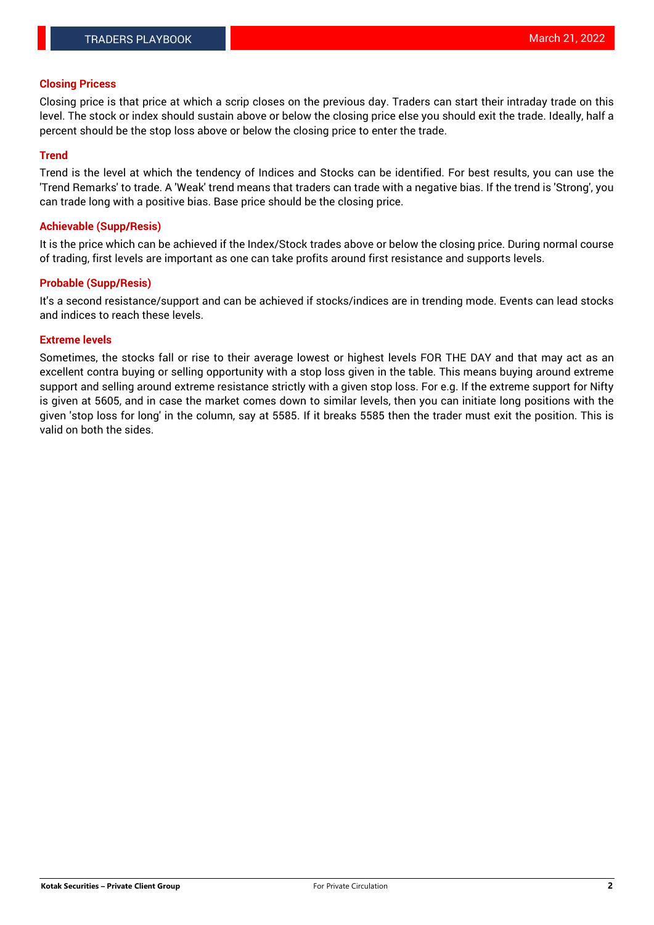### **Closing Pricess**

Closing price is that price at which a scrip closes on the previous day. Traders can start their intraday trade on this level. The stock or index should sustain above or below the closing price else you should exit the trade. Ideally, half a percent should be the stop loss above or below the closing price to enter the trade.

### **Trend**

Trend is the level at which the tendency of Indices and Stocks can be identified. For best results, you can use the 'Trend Remarks' to trade. A 'Weak' trend means that traders can trade with a negative bias. If the trend is 'Strong', you can trade long with a positive bias. Base price should be the closing price.

#### **Achievable (Supp/Resis)**

It is the price which can be achieved if the Index/Stock trades above or below the closing price. During normal course of trading, first levels are important as one can take profits around first resistance and supports levels.

### **Probable (Supp/Resis)**

It's a second resistance/support and can be achieved if stocks/indices are in trending mode. Events can lead stocks and indices to reach these levels.

### **Extreme levels**

Sometimes, the stocks fall or rise to their average lowest or highest levels FOR THE DAY and that may act as an excellent contra buying or selling opportunity with a stop loss given in the table. This means buying around extreme support and selling around extreme resistance strictly with a given stop loss. For e.g. If the extreme support for Nifty is given at 5605, and in case the market comes down to similar levels, then you can initiate long positions with the given 'stop loss for long' in the column, say at 5585. If it breaks 5585 then the trader must exit the position. This is valid on both the sides.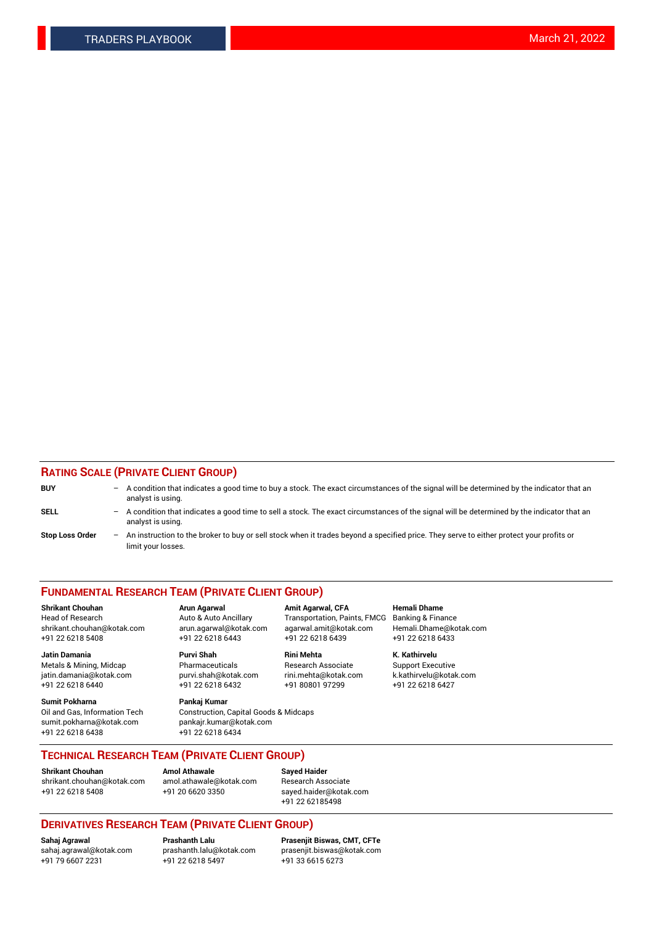### **RATING SCALE (PRIVATE CLIENT GROUP)**

| <b>BUY</b>             | $-$ | A condition that indicates a good time to buy a stock. The exact circumstances of the signal will be determined by the indicator that an<br>analyst is using.    |
|------------------------|-----|------------------------------------------------------------------------------------------------------------------------------------------------------------------|
| <b>SELL</b>            |     | - A condition that indicates a good time to sell a stock. The exact circumstances of the signal will be determined by the indicator that an<br>analyst is using. |
| <b>Stop Loss Order</b> |     | - An instruction to the broker to buy or sell stock when it trades beyond a specified price. They serve to either protect your profits or<br>limit your losses.  |

#### **FUNDAMENTAL RESEARCH TEAM (PRIVATE CLIENT GROUP)**

**Shrikant Chouhan Arun Agarwal Amit Agarwal, CFA Hemali Dhame**

**Jatin Damania Purvi Shah Rini Mehta K. Kathirvelu** Metals & Mining, Midcap **Pharmaceuticals** Research Associate Support Executive jatin.damania@kotak.com [purvi.shah@kotak.com](mailto:purvi.shah@kotak.com) rini.mehta@kotak.com [k.kathirvelu@kotak.com](mailto:k.kathirvelu@kotak.com)  $+91$  22 6218 6440  $+91$  22 6218 6432

**Sumit Pokharna Pankaj Kumar** sumit.pokharna@kotak.com pankajr.kumar@kotak.com +91 22 6218 6438 +91 22 6218 6434

Oil and Gas, Information Tech Construction, Capital Goods & Midcaps

Head of Research Auto & Auto Ancillary Transportation, Paints, FMCG Banking & Finance shrikant.chouhan@kotak.com arun.agarwal@kotak.com agarwal.amit@kotak.com Hemali.Dhame@kotak.com +91 22 6218 5408 +91 22 6218 6443 +91 22 6218 6439 +91 22 6218 6433

**TECHNICAL RESEARCH TEAM (PRIVATE CLIENT GROUP)**

[shrikant.chouhan@kotak.com](mailto:shrikant.chouhan@kotak.com) [amol.athawale@kotak.com](mailto:amol.athawale@kotak.com) Research Associate +91 22 6218 5408 +91 20 6620 3350 [sayed.haider@kotak.com](mailto:sayed.haider@kotak.com)

**Shrikant Chouhan Amol Athawale Sayed Haider**

+91 22 62185498

## **DERIVATIVES RESEARCH TEAM (PRIVATE CLIENT GROUP)**

 $+91$  22 6218 5497

**Sahaj Agrawal Prashanth Lalu Prasenjit Biswas, CMT, CFTe** [sahaj.agrawal@kotak.com](mailto:sahaj.agrawal@kotak.com) [prashanth.lalu@kotak.com](mailto:prashanth.lalu@kotak.com) [prasenjit.biswas@kotak.com](mailto:prasenjit.biswas@kotak.com)